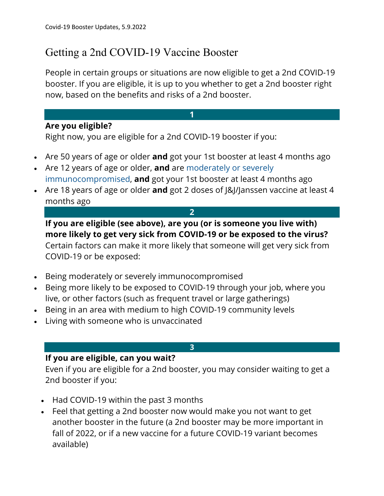## Getting a 2nd COVID-19 Vaccine Booster

People in certain groups or situations are now eligible to get a 2nd COVID-19 booster. If you are eligible, it is up to you whether to get a 2nd booster right now, based on the benefits and risks of a 2nd booster.

**1**

## **Are you eligible?**

Right now, you are eligible for a 2nd COVID-19 booster if you:

- Are 50 years of age or older **and** got your 1st booster at least 4 months ago
- Are 12 years of age or older, **and** are moderately or severely immunocompromised, **and** got your 1st booster at least 4 months ago
- Are 18 years of age or older **and** got 2 doses of J&J/Janssen vaccine at least 4 months ago

**2**

**If you are eligible (see above), are you (or is someone you live with) more likely to get very sick from COVID-19 or be exposed to the virus?**

Certain factors can make it more likely that someone will get very sick from COVID-19 or be exposed:

- Being moderately or severely immunocompromised
- Being more likely to be exposed to COVID-19 through your job, where you live, or other factors (such as frequent travel or large gatherings)
- Being in an area with medium to high COVID-19 community levels
- Living with someone who is unvaccinated

## **3**

## **If you are eligible, can you wait?**

Even if you are eligible for a 2nd booster, you may consider waiting to get a 2nd booster if you:

- Had COVID-19 within the past 3 months
- Feel that getting a 2nd booster now would make you not want to get another booster in the future (a 2nd booster may be more important in fall of 2022, or if a new vaccine for a future COVID-19 variant becomes available)